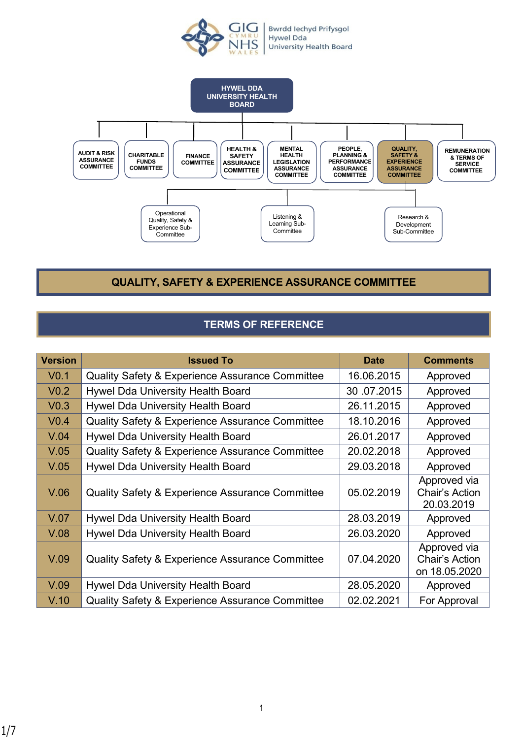



**QUALITY, SAFETY & EXPERIENCE ASSURANCE COMMITTEE**

# **TERMS OF REFERENCE**

| <b>Version</b>   | <b>Issued To</b>                                           | <b>Date</b> | <b>Comments</b>                                 |
|------------------|------------------------------------------------------------|-------------|-------------------------------------------------|
| V <sub>0.1</sub> | <b>Quality Safety &amp; Experience Assurance Committee</b> | 16.06.2015  | Approved                                        |
| V <sub>0.2</sub> | Hywel Dda University Health Board                          | 30.07.2015  | Approved                                        |
| V <sub>0.3</sub> | Hywel Dda University Health Board                          | 26.11.2015  | Approved                                        |
| V <sub>0.4</sub> | <b>Quality Safety &amp; Experience Assurance Committee</b> | 18.10.2016  | Approved                                        |
| V.04             | Hywel Dda University Health Board                          | 26.01.2017  | Approved                                        |
| V.05             | <b>Quality Safety &amp; Experience Assurance Committee</b> | 20.02.2018  | Approved                                        |
| V.05             | Hywel Dda University Health Board                          | 29.03.2018  | Approved                                        |
| V.06             | <b>Quality Safety &amp; Experience Assurance Committee</b> | 05.02.2019  | Approved via<br>Chair's Action<br>20.03.2019    |
| V.07             | <b>Hywel Dda University Health Board</b>                   | 28.03.2019  | Approved                                        |
| V.08             | Hywel Dda University Health Board                          | 26.03.2020  | Approved                                        |
| V.09             | <b>Quality Safety &amp; Experience Assurance Committee</b> | 07.04.2020  | Approved via<br>Chair's Action<br>on 18.05.2020 |
| V.09             | Hywel Dda University Health Board                          | 28.05.2020  | Approved                                        |
| V.10             | <b>Quality Safety &amp; Experience Assurance Committee</b> | 02.02.2021  | For Approval                                    |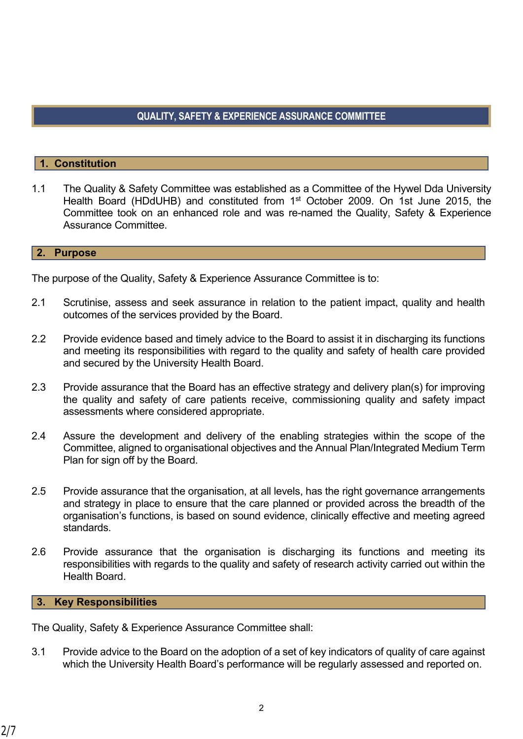# **QUALITY, SAFETY & EXPERIENCE ASSURANCE COMMITTEE**

## **1. Constitution**

1.1 The Quality & Safety Committee was established as a Committee of the Hywel Dda University Health Board (HDdUHB) and constituted from 1st October 2009. On 1st June 2015, the Committee took on an enhanced role and was re-named the Quality, Safety & Experience Assurance Committee.

#### **2. Purpose**

The purpose of the Quality, Safety & Experience Assurance Committee is to:

- 2.1 Scrutinise, assess and seek assurance in relation to the patient impact, quality and health outcomes of the services provided by the Board.
- 2.2 Provide evidence based and timely advice to the Board to assist it in discharging its functions and meeting its responsibilities with regard to the quality and safety of health care provided and secured by the University Health Board.
- 2.3 Provide assurance that the Board has an effective strategy and delivery plan(s) for improving the quality and safety of care patients receive, commissioning quality and safety impact assessments where considered appropriate.
- 2.4 Assure the development and delivery of the enabling strategies within the scope of the Committee, aligned to organisational objectives and the Annual Plan/Integrated Medium Term Plan for sign off by the Board.
- 2.5 Provide assurance that the organisation, at all levels, has the right governance arrangements and strategy in place to ensure that the care planned or provided across the breadth of the organisation's functions, is based on sound evidence, clinically effective and meeting agreed standards.
- 2.6 Provide assurance that the organisation is discharging its functions and meeting its responsibilities with regards to the quality and safety of research activity carried out within the Health Board.

#### **3. Key Responsibilities**

The Quality, Safety & Experience Assurance Committee shall:

3.1 Provide advice to the Board on the adoption of a set of key indicators of quality of care against which the University Health Board's performance will be regularly assessed and reported on.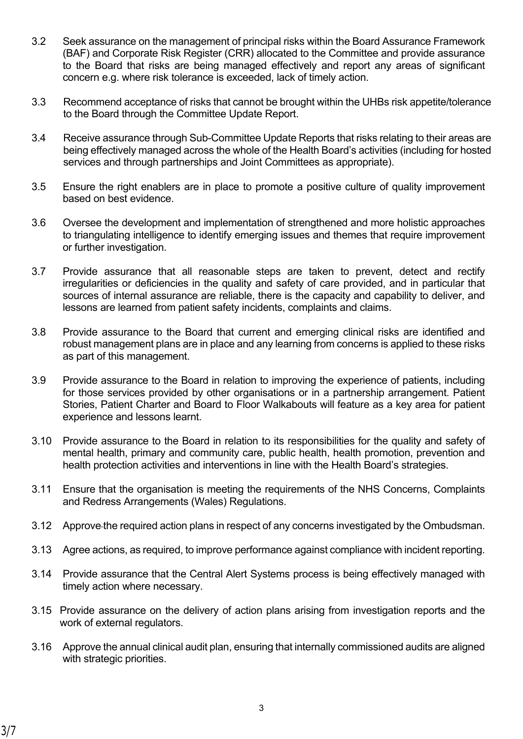- 3.2 Seek assurance on the management of principal risks within the Board Assurance Framework (BAF) and Corporate Risk Register (CRR) allocated to the Committee and provide assurance to the Board that risks are being managed effectively and report any areas of significant concern e.g. where risk tolerance is exceeded, lack of timely action.
- 3.3 Recommend acceptance of risks that cannot be brought within the UHBs risk appetite/tolerance to the Board through the Committee Update Report.
- 3.4 Receive assurance through Sub-Committee Update Reports that risks relating to their areas are being effectively managed across the whole of the Health Board's activities (including for hosted services and through partnerships and Joint Committees as appropriate).
- 3.5 Ensure the right enablers are in place to promote a positive culture of quality improvement based on best evidence.
- 3.6 Oversee the development and implementation of strengthened and more holistic approaches to triangulating intelligence to identify emerging issues and themes that require improvement or further investigation.
- 3.7 Provide assurance that all reasonable steps are taken to prevent, detect and rectify irregularities or deficiencies in the quality and safety of care provided, and in particular that sources of internal assurance are reliable, there is the capacity and capability to deliver, and lessons are learned from patient safety incidents, complaints and claims.
- 3.8 Provide assurance to the Board that current and emerging clinical risks are identified and robust management plans are in place and any learning from concerns is applied to these risks as part of this management.
- 3.9 Provide assurance to the Board in relation to improving the experience of patients, including for those services provided by other organisations or in a partnership arrangement. Patient Stories, Patient Charter and Board to Floor Walkabouts will feature as a key area for patient experience and lessons learnt.
- 3.10 Provide assurance to the Board in relation to its responsibilities for the quality and safety of mental health, primary and community care, public health, health promotion, prevention and health protection activities and interventions in line with the Health Board's strategies.
- 3.11 Ensure that the organisation is meeting the requirements of the NHS Concerns, Complaints and Redress Arrangements (Wales) Regulations.
- 3.12 Approve the required action plans in respect of any concerns investigated by the Ombudsman.
- 3.13 Agree actions, as required, to improve performance against compliance with incident reporting.
- 3.14 Provide assurance that the Central Alert Systems process is being effectively managed with timely action where necessary.
- 3.15 Provide assurance on the delivery of action plans arising from investigation reports and the work of external regulators.
- 3.16 Approve the annual clinical audit plan, ensuring that internally commissioned audits are aligned with strategic priorities.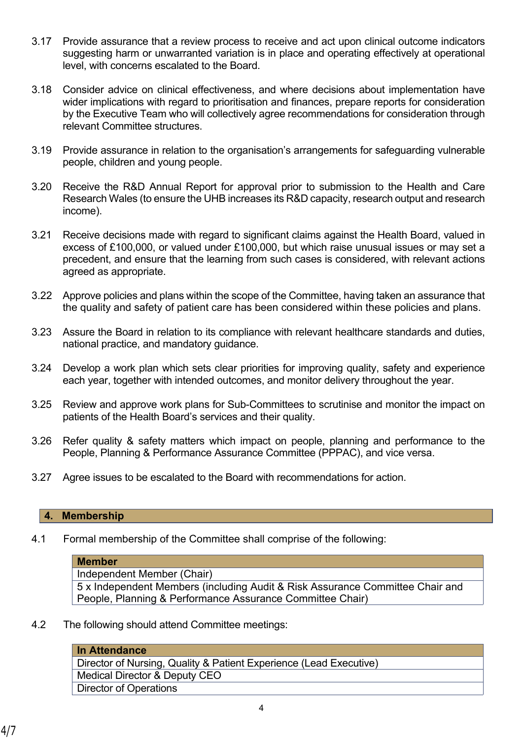- 3.17 Provide assurance that a review process to receive and act upon clinical outcome indicators suggesting harm or unwarranted variation is in place and operating effectively at operational level, with concerns escalated to the Board.
- 3.18 Consider advice on clinical effectiveness, and where decisions about implementation have wider implications with regard to prioritisation and finances, prepare reports for consideration by the Executive Team who will collectively agree recommendations for consideration through relevant Committee structures.
- 3.19 Provide assurance in relation to the organisation's arrangements for safeguarding vulnerable people, children and young people.
- 3.20 Receive the R&D Annual Report for approval prior to submission to the Health and Care Research Wales (to ensure the UHB increases its R&D capacity, research output and research income).
- 3.21 Receive decisions made with regard to significant claims against the Health Board, valued in excess of £100,000, or valued under £100,000, but which raise unusual issues or may set a precedent, and ensure that the learning from such cases is considered, with relevant actions agreed as appropriate.
- 3.22 Approve policies and plans within the scope of the Committee, having taken an assurance that the quality and safety of patient care has been considered within these policies and plans.
- 3.23 Assure the Board in relation to its compliance with relevant healthcare standards and duties, national practice, and mandatory guidance.
- 3.24 Develop a work plan which sets clear priorities for improving quality, safety and experience each year, together with intended outcomes, and monitor delivery throughout the year.
- 3.25 Review and approve work plans for Sub-Committees to scrutinise and monitor the impact on patients of the Health Board's services and their quality.
- 3.26 Refer quality & safety matters which impact on people, planning and performance to the People, Planning & Performance Assurance Committee (PPPAC), and vice versa.
- 3.27 Agree issues to be escalated to the Board with recommendations for action.

#### **4. Membership**

4.1 Formal membership of the Committee shall comprise of the following:

### **Member**

Independent Member (Chair)

5 x Independent Members (including Audit & Risk Assurance Committee Chair and People, Planning & Performance Assurance Committee Chair)

4.2 The following should attend Committee meetings:

| In Attendance                                                      |
|--------------------------------------------------------------------|
| Director of Nursing, Quality & Patient Experience (Lead Executive) |
| Medical Director & Deputy CEO                                      |
| Director of Operations                                             |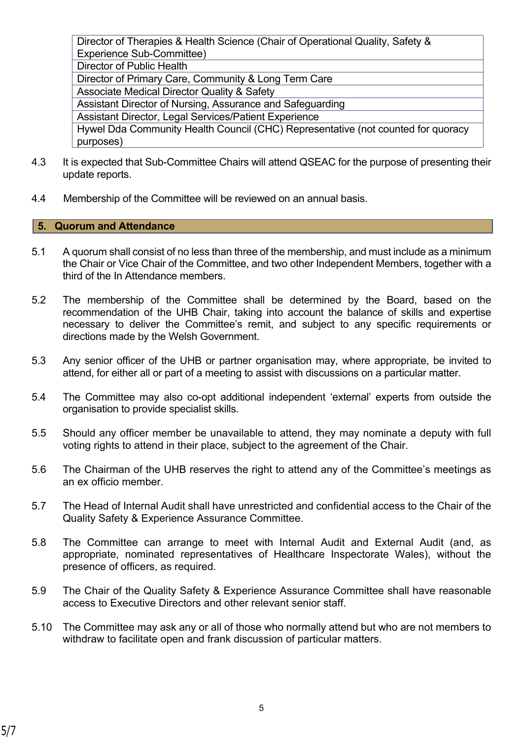Director of Therapies & Health Science (Chair of Operational Quality, Safety & Experience Sub-Committee) Director of Public Health Director of Primary Care, Community & Long Term Care Associate Medical Director Quality & Safety Assistant Director of Nursing, Assurance and Safeguarding Assistant Director, Legal Services/Patient Experience Hywel Dda Community Health Council (CHC) Representative (not counted for quoracy purposes)

- 4.3 It is expected that Sub-Committee Chairs will attend QSEAC for the purpose of presenting their update reports.
- 4.4 Membership of the Committee will be reviewed on an annual basis.

## **5. Quorum and Attendance**

- 5.1 A quorum shall consist of no less than three of the membership, and must include as a minimum the Chair or Vice Chair of the Committee, and two other Independent Members, together with a third of the In Attendance members.
- 5.2 The membership of the Committee shall be determined by the Board, based on the recommendation of the UHB Chair, taking into account the balance of skills and expertise necessary to deliver the Committee's remit, and subject to any specific requirements or directions made by the Welsh Government.
- 5.3 Any senior officer of the UHB or partner organisation may, where appropriate, be invited to attend, for either all or part of a meeting to assist with discussions on a particular matter.
- 5.4 The Committee may also co-opt additional independent 'external' experts from outside the organisation to provide specialist skills.
- 5.5 Should any officer member be unavailable to attend, they may nominate a deputy with full voting rights to attend in their place, subject to the agreement of the Chair.
- 5.6 The Chairman of the UHB reserves the right to attend any of the Committee's meetings as an ex officio member.
- 5.7 The Head of Internal Audit shall have unrestricted and confidential access to the Chair of the Quality Safety & Experience Assurance Committee.
- 5.8 The Committee can arrange to meet with Internal Audit and External Audit (and, as appropriate, nominated representatives of Healthcare Inspectorate Wales), without the presence of officers, as required.
- 5.9 The Chair of the Quality Safety & Experience Assurance Committee shall have reasonable access to Executive Directors and other relevant senior staff.
- 5.10 The Committee may ask any or all of those who normally attend but who are not members to withdraw to facilitate open and frank discussion of particular matters.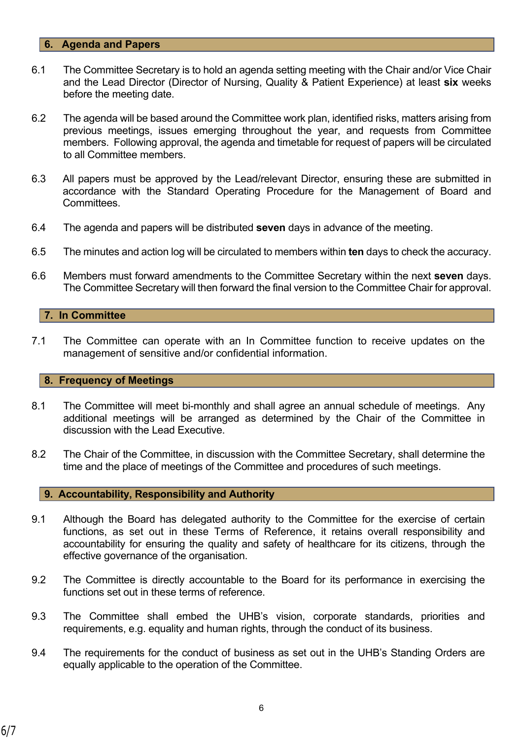#### **6. Agenda and Papers**

- 6.1 The Committee Secretary is to hold an agenda setting meeting with the Chair and/or Vice Chair and the Lead Director (Director of Nursing, Quality & Patient Experience) at least **six** weeks before the meeting date.
- 6.2 The agenda will be based around the Committee work plan, identified risks, matters arising from previous meetings, issues emerging throughout the year, and requests from Committee members. Following approval, the agenda and timetable for request of papers will be circulated to all Committee members.
- 6.3 All papers must be approved by the Lead/relevant Director, ensuring these are submitted in accordance with the Standard Operating Procedure for the Management of Board and **Committees**
- 6.4 The agenda and papers will be distributed **seven** days in advance of the meeting.
- 6.5 The minutes and action log will be circulated to members within **ten** days to check the accuracy.
- 6.6 Members must forward amendments to the Committee Secretary within the next **seven** days. The Committee Secretary will then forward the final version to the Committee Chair for approval.

### **7. In Committee**

7.1 The Committee can operate with an In Committee function to receive updates on the management of sensitive and/or confidential information.

### **8. Frequency of Meetings**

- 8.1 The Committee will meet bi-monthly and shall agree an annual schedule of meetings. Any additional meetings will be arranged as determined by the Chair of the Committee in discussion with the Lead Executive.
- 8.2 The Chair of the Committee, in discussion with the Committee Secretary, shall determine the time and the place of meetings of the Committee and procedures of such meetings.

#### **9. Accountability, Responsibility and Authority**

- 9.1 Although the Board has delegated authority to the Committee for the exercise of certain functions, as set out in these Terms of Reference, it retains overall responsibility and accountability for ensuring the quality and safety of healthcare for its citizens, through the effective governance of the organisation.
- 9.2 The Committee is directly accountable to the Board for its performance in exercising the functions set out in these terms of reference
- 9.3 The Committee shall embed the UHB's vision, corporate standards, priorities and requirements, e.g. equality and human rights, through the conduct of its business.
- 9.4 The requirements for the conduct of business as set out in the UHB's Standing Orders are equally applicable to the operation of the Committee.